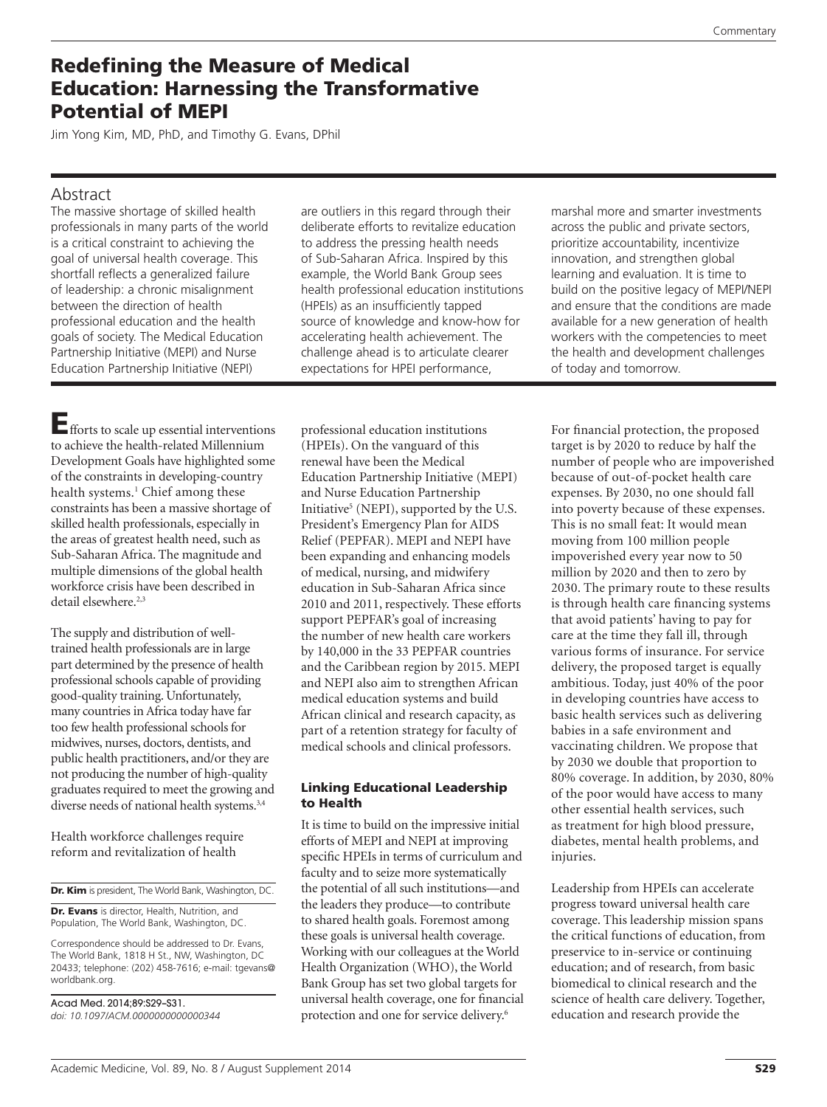# Redefining the Measure of Medical Education: Harnessing the Transformative Potential of MEPI

Jim Yong Kim, MD, PhD, and Timothy G. Evans, DPhil

#### Abstract

The massive shortage of skilled health professionals in many parts of the world is a critical constraint to achieving the goal of universal health coverage. This shortfall reflects a generalized failure of leadership: a chronic misalignment between the direction of health professional education and the health goals of society. The Medical Education Partnership Initiative (MEPI) and Nurse Education Partnership Initiative (NEPI)

are outliers in this regard through their deliberate efforts to revitalize education to address the pressing health needs of Sub-Saharan Africa. Inspired by this example, the World Bank Group sees health professional education institutions (HPEIs) as an insufficiently tapped source of knowledge and know-how for accelerating health achievement. The challenge ahead is to articulate clearer expectations for HPEI performance,

Efforts to scale up essential interventions to achieve the health-related Millennium Development Goals have highlighted some of the constraints in developing-country health systems.<sup>1</sup> Chief among these constraints has been a massive shortage of skilled health professionals, especially in the areas of greatest health need, such as Sub-Saharan Africa. The magnitude and multiple dimensions of the global health workforce crisis have been described in detail elsewhere.<sup>2,3</sup>

The supply and distribution of welltrained health professionals are in large part determined by the presence of health professional schools capable of providing good-quality training. Unfortunately, many countries in Africa today have far too few health professional schools for midwives, nurses, doctors, dentists, and public health practitioners, and/or they are not producing the number of high-quality graduates required to meet the growing and diverse needs of national health systems.<sup>3,4</sup>

Health workforce challenges require reform and revitalization of health

Dr. Kim is president, The World Bank, Washington, DC.

Dr. Evans is director, Health, Nutrition, and Population, The World Bank, Washington, DC.

Correspondence should be addressed to Dr. Evans, The World Bank, 1818 H St., NW, Washington, DC 20433; telephone: (202) 458-7616; e-mail: [tgevans@](mailto:tgevans@worldbank.org) [worldbank.org.](mailto:tgevans@worldbank.org)

Acad Med. 2014;89:S29–S31. *doi: 10.1097/ACM.0000000000000344* professional education institutions (HPEIs). On the vanguard of this renewal have been the Medical Education Partnership Initiative (MEPI) and Nurse Education Partnership Initiative<sup>5</sup> (NEPI), supported by the U.S. President's Emergency Plan for AIDS Relief (PEPFAR). MEPI and NEPI have been expanding and enhancing models of medical, nursing, and midwifery education in Sub-Saharan Africa since 2010 and 2011, respectively. These efforts support PEPFAR's goal of increasing the number of new health care workers by 140,000 in the 33 PEPFAR countries and the Caribbean region by 2015. MEPI and NEPI also aim to strengthen African medical education systems and build African clinical and research capacity, as part of a retention strategy for faculty of medical schools and clinical professors.

#### Linking Educational Leadership to Health

It is time to build on the impressive initial efforts of MEPI and NEPI at improving specific HPEIs in terms of curriculum and faculty and to seize more systematically the potential of all such institutions—and the leaders they produce—to contribute to shared health goals. Foremost among these goals is universal health coverage. Working with our colleagues at the World Health Organization (WHO), the World Bank Group has set two global targets for universal health coverage, one for financial protection and one for service delivery.6

marshal more and smarter investments across the public and private sectors, prioritize accountability, incentivize innovation, and strengthen global learning and evaluation. It is time to build on the positive legacy of MEPI/NEPI and ensure that the conditions are made available for a new generation of health workers with the competencies to meet the health and development challenges of today and tomorrow.

For financial protection, the proposed target is by 2020 to reduce by half the number of people who are impoverished because of out-of-pocket health care expenses. By 2030, no one should fall into poverty because of these expenses. This is no small feat: It would mean moving from 100 million people impoverished every year now to 50 million by 2020 and then to zero by 2030. The primary route to these results is through health care financing systems that avoid patients' having to pay for care at the time they fall ill, through various forms of insurance. For service delivery, the proposed target is equally ambitious. Today, just 40% of the poor in developing countries have access to basic health services such as delivering babies in a safe environment and vaccinating children. We propose that by 2030 we double that proportion to 80% coverage. In addition, by 2030, 80% of the poor would have access to many other essential health services, such as treatment for high blood pressure, diabetes, mental health problems, and injuries.

Leadership from HPEIs can accelerate progress toward universal health care coverage. This leadership mission spans the critical functions of education, from preservice to in-service or continuing education; and of research, from basic biomedical to clinical research and the science of health care delivery. Together, education and research provide the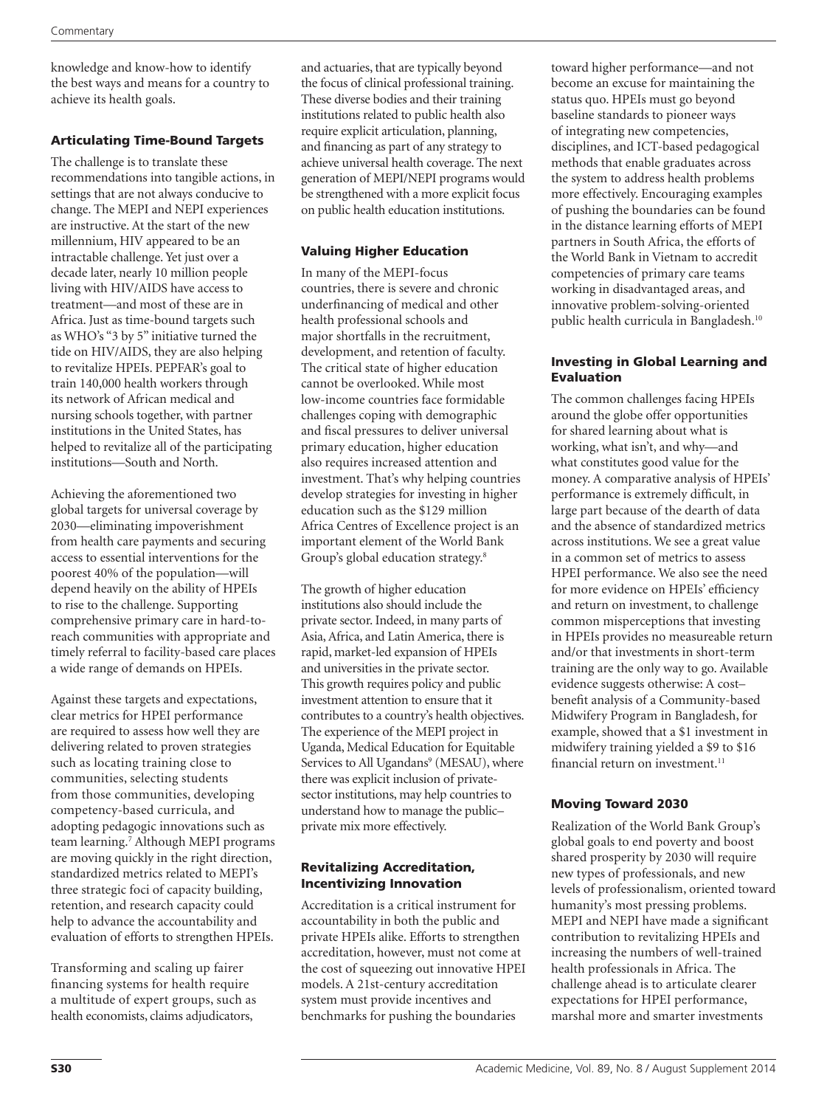knowledge and know-how to identify the best ways and means for a country to achieve its health goals.

# Articulating Time-Bound Targets

The challenge is to translate these recommendations into tangible actions, in settings that are not always conducive to change. The MEPI and NEPI experiences are instructive. At the start of the new millennium, HIV appeared to be an intractable challenge. Yet just over a decade later, nearly 10 million people living with HIV/AIDS have access to treatment—and most of these are in Africa. Just as time-bound targets such as WHO's "3 by 5" initiative turned the tide on HIV/AIDS, they are also helping to revitalize HPEIs. PEPFAR's goal to train 140,000 health workers through its network of African medical and nursing schools together, with partner institutions in the United States, has helped to revitalize all of the participating institutions—South and North.

Achieving the aforementioned two global targets for universal coverage by 2030—eliminating impoverishment from health care payments and securing access to essential interventions for the poorest 40% of the population—will depend heavily on the ability of HPEIs to rise to the challenge. Supporting comprehensive primary care in hard-toreach communities with appropriate and timely referral to facility-based care places a wide range of demands on HPEIs.

Against these targets and expectations, clear metrics for HPEI performance are required to assess how well they are delivering related to proven strategies such as locating training close to communities, selecting students from those communities, developing competency-based curricula, and adopting pedagogic innovations such as team learning.7 Although MEPI programs are moving quickly in the right direction, standardized metrics related to MEPI's three strategic foci of capacity building, retention, and research capacity could help to advance the accountability and evaluation of efforts to strengthen HPEIs.

Transforming and scaling up fairer financing systems for health require a multitude of expert groups, such as health economists, claims adjudicators,

and actuaries, that are typically beyond the focus of clinical professional training. These diverse bodies and their training institutions related to public health also require explicit articulation, planning, and financing as part of any strategy to achieve universal health coverage. The next generation of MEPI/NEPI programs would be strengthened with a more explicit focus on public health education institutions.

# Valuing Higher Education

In many of the MEPI-focus countries, there is severe and chronic underfinancing of medical and other health professional schools and major shortfalls in the recruitment, development, and retention of faculty. The critical state of higher education cannot be overlooked. While most low-income countries face formidable challenges coping with demographic and fiscal pressures to deliver universal primary education, higher education also requires increased attention and investment. That's why helping countries develop strategies for investing in higher education such as the \$129 million Africa Centres of Excellence project is an important element of the World Bank Group's global education strategy.8

The growth of higher education institutions also should include the private sector. Indeed, in many parts of Asia, Africa, and Latin America, there is rapid, market-led expansion of HPEIs and universities in the private sector. This growth requires policy and public investment attention to ensure that it contributes to a country's health objectives. The experience of the MEPI project in Uganda, Medical Education for Equitable Services to All Ugandans<sup>9</sup> (MESAU), where there was explicit inclusion of privatesector institutions, may help countries to understand how to manage the public– private mix more effectively.

# Revitalizing Accreditation, Incentivizing Innovation

Accreditation is a critical instrument for accountability in both the public and private HPEIs alike. Efforts to strengthen accreditation, however, must not come at the cost of squeezing out innovative HPEI models. A 21st-century accreditation system must provide incentives and benchmarks for pushing the boundaries

toward higher performance—and not become an excuse for maintaining the status quo. HPEIs must go beyond baseline standards to pioneer ways of integrating new competencies, disciplines, and ICT-based pedagogical methods that enable graduates across the system to address health problems more effectively. Encouraging examples of pushing the boundaries can be found in the distance learning efforts of MEPI partners in South Africa, the efforts of the World Bank in Vietnam to accredit competencies of primary care teams working in disadvantaged areas, and innovative problem-solving-oriented public health curricula in Bangladesh.10

#### Investing in Global Learning and Evaluation

The common challenges facing HPEIs around the globe offer opportunities for shared learning about what is working, what isn't, and why—and what constitutes good value for the money. A comparative analysis of HPEIs' performance is extremely difficult, in large part because of the dearth of data and the absence of standardized metrics across institutions. We see a great value in a common set of metrics to assess HPEI performance. We also see the need for more evidence on HPEIs' efficiency and return on investment, to challenge common misperceptions that investing in HPEIs provides no measureable return and/or that investments in short-term training are the only way to go. Available evidence suggests otherwise: A cost– benefit analysis of a Community-based Midwifery Program in Bangladesh, for example, showed that a \$1 investment in midwifery training yielded a \$9 to \$16 financial return on investment. $11$ 

# Moving Toward 2030

Realization of the World Bank Group's global goals to end poverty and boost shared prosperity by 2030 will require new types of professionals, and new levels of professionalism, oriented toward humanity's most pressing problems. MEPI and NEPI have made a significant contribution to revitalizing HPEIs and increasing the numbers of well-trained health professionals in Africa. The challenge ahead is to articulate clearer expectations for HPEI performance, marshal more and smarter investments